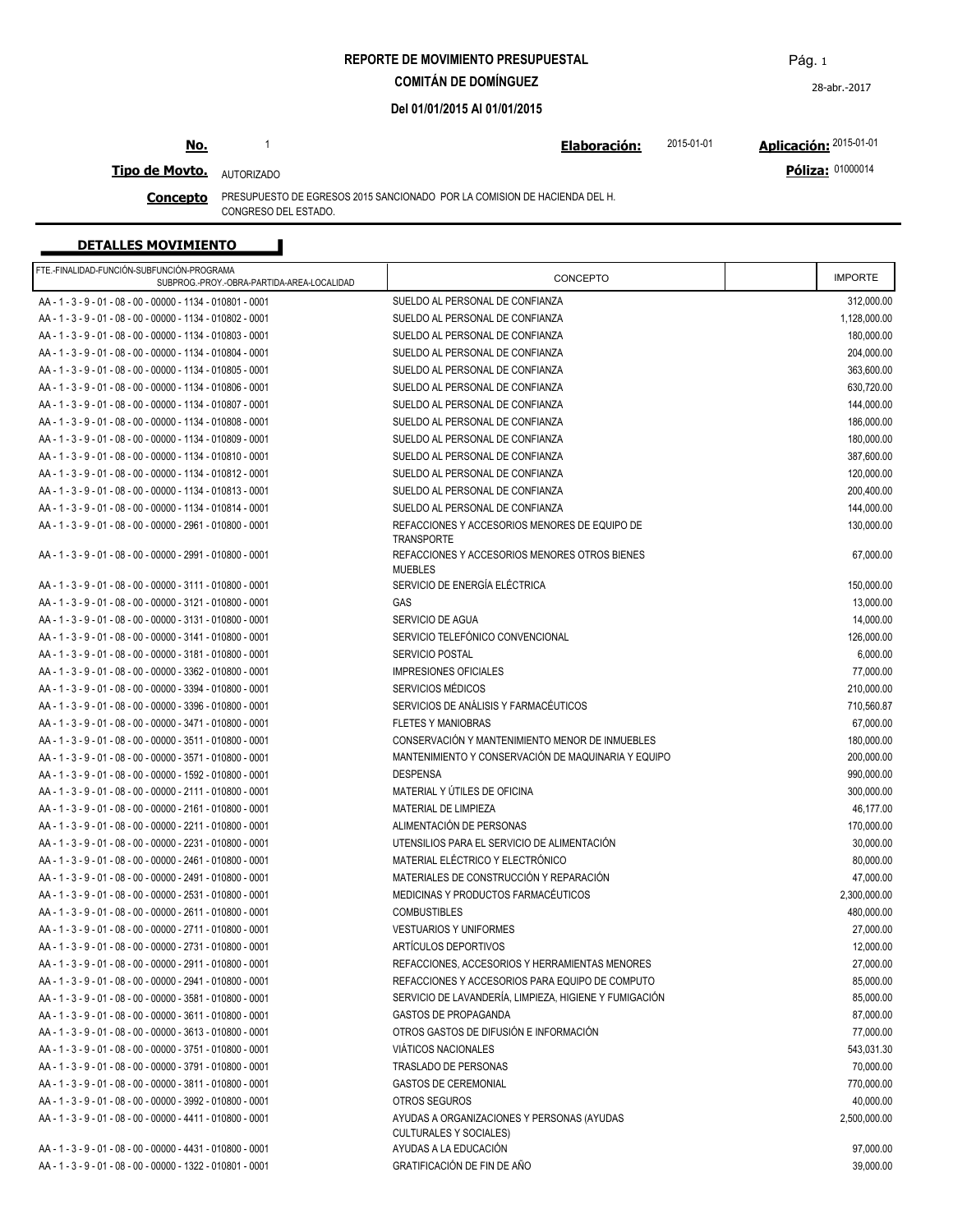**REPORTE DE MOVIMIENTO PRESUPUESTAL**

**COMITÁN DE DOMÍNGUEZ**

**Del 01/01/2015 Al 01/01/2015**

# **No.**

**Elaboración: Aplicación:** 1 2015-01-01 2015-01-01

#### **Tipo de Movto.** AUTORIZADO

**Concepto** PRESUPUESTO DE EGRESOS 2015 SANCIONADO POR LA COMISION DE HACIENDA DEL H. CONGRESO DEL ESTADO.

### **DETALLES MOVIMIENTO**

| FTE.-FINALIDAD-FUNCIÓN-SUBFUNCIÓN-PROGRAMA<br>SUBPROG.-PROY.-OBRA-PARTIDA-AREA-LOCALIDAD | CONCEPTO                                                                    | <b>IMPORTE</b> |
|------------------------------------------------------------------------------------------|-----------------------------------------------------------------------------|----------------|
| AA - 1 - 3 - 9 - 01 - 08 - 00 - 00000 - 1134 - 010801 - 0001                             | SUELDO AL PERSONAL DE CONFIANZA                                             | 312,000.00     |
| AA - 1 - 3 - 9 - 01 - 08 - 00 - 00000 - 1134 - 010802 - 0001                             | SUELDO AL PERSONAL DE CONFIANZA                                             | 1,128,000.00   |
| AA - 1 - 3 - 9 - 01 - 08 - 00 - 00000 - 1134 - 010803 - 0001                             | SUELDO AL PERSONAL DE CONFIANZA                                             | 180,000.00     |
| AA - 1 - 3 - 9 - 01 - 08 - 00 - 00000 - 1134 - 010804 - 0001                             | SUELDO AL PERSONAL DE CONFIANZA                                             | 204,000.00     |
| AA - 1 - 3 - 9 - 01 - 08 - 00 - 00000 - 1134 - 010805 - 0001                             | SUELDO AL PERSONAL DE CONFIANZA                                             | 363,600.00     |
| AA - 1 - 3 - 9 - 01 - 08 - 00 - 00000 - 1134 - 010806 - 0001                             | SUELDO AL PERSONAL DE CONFIANZA                                             | 630,720.00     |
| AA - 1 - 3 - 9 - 01 - 08 - 00 - 00000 - 1134 - 010807 - 0001                             | SUELDO AL PERSONAL DE CONFIANZA                                             | 144,000.00     |
| AA - 1 - 3 - 9 - 01 - 08 - 00 - 00000 - 1134 - 010808 - 0001                             | SUELDO AL PERSONAL DE CONFIANZA                                             | 186,000.00     |
| AA - 1 - 3 - 9 - 01 - 08 - 00 - 00000 - 1134 - 010809 - 0001                             | SUELDO AL PERSONAL DE CONFIANZA                                             | 180.000.00     |
| AA - 1 - 3 - 9 - 01 - 08 - 00 - 00000 - 1134 - 010810 - 0001                             | SUELDO AL PERSONAL DE CONFIANZA                                             | 387,600.00     |
| AA - 1 - 3 - 9 - 01 - 08 - 00 - 00000 - 1134 - 010812 - 0001                             | SUELDO AL PERSONAL DE CONFIANZA                                             | 120,000.00     |
| AA - 1 - 3 - 9 - 01 - 08 - 00 - 00000 - 1134 - 010813 - 0001                             | SUELDO AL PERSONAL DE CONFIANZA                                             |                |
|                                                                                          |                                                                             | 200,400.00     |
| AA - 1 - 3 - 9 - 01 - 08 - 00 - 00000 - 1134 - 010814 - 0001                             | SUELDO AL PERSONAL DE CONFIANZA                                             | 144,000.00     |
| AA - 1 - 3 - 9 - 01 - 08 - 00 - 00000 - 2961 - 010800 - 0001                             | REFACCIONES Y ACCESORIOS MENORES DE EQUIPO DE<br><b>TRANSPORTE</b>          | 130,000.00     |
| AA - 1 - 3 - 9 - 01 - 08 - 00 - 00000 - 2991 - 010800 - 0001                             | REFACCIONES Y ACCESORIOS MENORES OTROS BIENES<br><b>MUEBLES</b>             | 67,000.00      |
| AA - 1 - 3 - 9 - 01 - 08 - 00 - 00000 - 3111 - 010800 - 0001                             | SERVICIO DE ENERGÍA ELÉCTRICA                                               | 150,000.00     |
| AA - 1 - 3 - 9 - 01 - 08 - 00 - 00000 - 3121 - 010800 - 0001                             | GAS                                                                         | 13,000.00      |
| AA - 1 - 3 - 9 - 01 - 08 - 00 - 00000 - 3131 - 010800 - 0001                             | SERVICIO DE AGUA                                                            | 14,000.00      |
| AA - 1 - 3 - 9 - 01 - 08 - 00 - 00000 - 3141 - 010800 - 0001                             | SERVICIO TELEFÓNICO CONVENCIONAL                                            | 126,000.00     |
| AA - 1 - 3 - 9 - 01 - 08 - 00 - 00000 - 3181 - 010800 - 0001                             | <b>SERVICIO POSTAL</b>                                                      | 6,000.00       |
| AA - 1 - 3 - 9 - 01 - 08 - 00 - 00000 - 3362 - 010800 - 0001                             | <b>IMPRESIONES OFICIALES</b>                                                | 77,000.00      |
| AA - 1 - 3 - 9 - 01 - 08 - 00 - 00000 - 3394 - 010800 - 0001                             | SERVICIOS MÉDICOS                                                           | 210,000.00     |
| AA - 1 - 3 - 9 - 01 - 08 - 00 - 00000 - 3396 - 010800 - 0001                             | SERVICIOS DE ANÁLISIS Y FARMACÉUTICOS                                       | 710,560.87     |
| AA - 1 - 3 - 9 - 01 - 08 - 00 - 00000 - 3471 - 010800 - 0001                             | <b>FLETES Y MANIOBRAS</b>                                                   | 67,000.00      |
| AA - 1 - 3 - 9 - 01 - 08 - 00 - 00000 - 3511 - 010800 - 0001                             | CONSERVACIÓN Y MANTENIMIENTO MENOR DE INMUEBLES                             | 180,000.00     |
| AA - 1 - 3 - 9 - 01 - 08 - 00 - 00000 - 3571 - 010800 - 0001                             | MANTENIMIENTO Y CONSERVACIÓN DE MAQUINARIA Y EQUIPO                         | 200,000.00     |
| AA - 1 - 3 - 9 - 01 - 08 - 00 - 00000 - 1592 - 010800 - 0001                             | <b>DESPENSA</b>                                                             | 990,000.00     |
| AA - 1 - 3 - 9 - 01 - 08 - 00 - 00000 - 2111 - 010800 - 0001                             | MATERIAL Y ÚTILES DE OFICINA                                                | 300,000.00     |
| AA - 1 - 3 - 9 - 01 - 08 - 00 - 00000 - 2161 - 010800 - 0001                             | MATERIAL DE LIMPIEZA                                                        | 46,177.00      |
| AA - 1 - 3 - 9 - 01 - 08 - 00 - 00000 - 2211 - 010800 - 0001                             | ALIMENTACIÓN DE PERSONAS                                                    | 170,000.00     |
| AA - 1 - 3 - 9 - 01 - 08 - 00 - 00000 - 2231 - 010800 - 0001                             | UTENSILIOS PARA EL SERVICIO DE ALIMENTACIÓN                                 | 30,000.00      |
| AA - 1 - 3 - 9 - 01 - 08 - 00 - 00000 - 2461 - 010800 - 0001                             | MATERIAL ELÉCTRICO Y ELECTRÓNICO                                            | 80,000.00      |
| AA - 1 - 3 - 9 - 01 - 08 - 00 - 00000 - 2491 - 010800 - 0001                             | MATERIALES DE CONSTRUCCIÓN Y REPARACIÓN                                     | 47,000.00      |
| AA - 1 - 3 - 9 - 01 - 08 - 00 - 00000 - 2531 - 010800 - 0001                             | MEDICINAS Y PRODUCTOS FARMACÉUTICOS                                         | 2,300,000.00   |
| AA - 1 - 3 - 9 - 01 - 08 - 00 - 00000 - 2611 - 010800 - 0001                             | <b>COMBUSTIBLES</b>                                                         | 480,000.00     |
| AA - 1 - 3 - 9 - 01 - 08 - 00 - 00000 - 2711 - 010800 - 0001                             | <b>VESTUARIOS Y UNIFORMES</b>                                               | 27,000.00      |
| AA - 1 - 3 - 9 - 01 - 08 - 00 - 00000 - 2731 - 010800 - 0001                             | ARTÍCULOS DEPORTIVOS                                                        | 12,000.00      |
| AA - 1 - 3 - 9 - 01 - 08 - 00 - 00000 - 2911 - 010800 - 0001                             | REFACCIONES, ACCESORIOS Y HERRAMIENTAS MENORES                              | 27,000.00      |
| AA - 1 - 3 - 9 - 01 - 08 - 00 - 00000 - 2941 - 010800 - 0001                             | REFACCIONES Y ACCESORIOS PARA EQUIPO DE COMPUTO                             |                |
| AA - 1 - 3 - 9 - 01 - 08 - 00 - 00000 - 3581 - 010800 - 0001                             |                                                                             | 85,000.00      |
|                                                                                          | SERVICIO DE LAVANDERÍA, LIMPIEZA, HIGIENE Y FUMIGACIÓN                      | 85,000.00      |
| AA - 1 - 3 - 9 - 01 - 08 - 00 - 00000 - 3611 - 010800 - 0001                             | <b>GASTOS DE PROPAGANDA</b>                                                 | 87,000.00      |
| AA - 1 - 3 - 9 - 01 - 08 - 00 - 00000 - 3613 - 010800 - 0001                             | OTROS GASTOS DE DIFUSIÓN E INFORMACIÓN                                      | 77,000.00      |
| AA - 1 - 3 - 9 - 01 - 08 - 00 - 00000 - 3751 - 010800 - 0001                             | VIÁTICOS NACIONALES                                                         | 543,031.30     |
| AA - 1 - 3 - 9 - 01 - 08 - 00 - 00000 - 3791 - 010800 - 0001                             | TRASLADO DE PERSONAS                                                        | 70,000.00      |
| AA - 1 - 3 - 9 - 01 - 08 - 00 - 00000 - 3811 - 010800 - 0001                             | <b>GASTOS DE CEREMONIAL</b>                                                 | 770,000.00     |
| AA - 1 - 3 - 9 - 01 - 08 - 00 - 00000 - 3992 - 010800 - 0001                             | OTROS SEGUROS                                                               | 40,000.00      |
| AA - 1 - 3 - 9 - 01 - 08 - 00 - 00000 - 4411 - 010800 - 0001                             | AYUDAS A ORGANIZACIONES Y PERSONAS (AYUDAS<br><b>CULTURALES Y SOCIALES)</b> | 2,500,000.00   |
| AA - 1 - 3 - 9 - 01 - 08 - 00 - 00000 - 4431 - 010800 - 0001                             | AYUDAS A LA EDUCACIÓN                                                       | 97,000.00      |
| AA - 1 - 3 - 9 - 01 - 08 - 00 - 00000 - 1322 - 010801 - 0001                             | GRATIFICACIÓN DE FIN DE AÑO                                                 | 39,000.00      |

**Póliza:** 01000014

28-abr.-2017